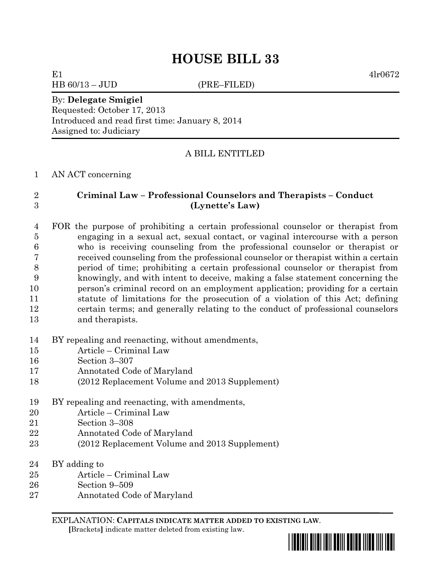# **HOUSE BILL 33**

HB 60/13 – JUD (PRE–FILED)

E1  $4lr0672$ 

#### By: **Delegate Smigiel** Requested: October 17, 2013

Introduced and read first time: January 8, 2014 Assigned to: Judiciary

# A BILL ENTITLED

## AN ACT concerning

# **Criminal Law – Professional Counselors and Therapists – Conduct (Lynette's Law)**

# FOR the purpose of prohibiting a certain professional counselor or therapist from engaging in a sexual act, sexual contact, or vaginal intercourse with a person who is receiving counseling from the professional counselor or therapist or received counseling from the professional counselor or therapist within a certain period of time; prohibiting a certain professional counselor or therapist from knowingly, and with intent to deceive, making a false statement concerning the person's criminal record on an employment application; providing for a certain statute of limitations for the prosecution of a violation of this Act; defining certain terms; and generally relating to the conduct of professional counselors and therapists.

# BY repealing and reenacting, without amendments,

- Article Criminal Law
- Section 3–307
- Annotated Code of Maryland
- (2012 Replacement Volume and 2013 Supplement)
- BY repealing and reenacting, with amendments,
- Article Criminal Law
- Section 3–308
- Annotated Code of Maryland
- (2012 Replacement Volume and 2013 Supplement)
- BY adding to
- Article Criminal Law
- Section 9–509
- Annotated Code of Maryland

EXPLANATION: **CAPITALS INDICATE MATTER ADDED TO EXISTING LAW**.  **[**Brackets**]** indicate matter deleted from existing law.

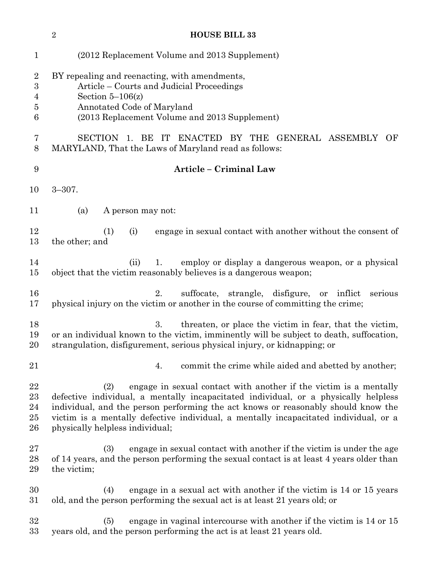|                                         | $\sqrt{2}$<br><b>HOUSE BILL 33</b>                                                                                                                                                                                                                                                                                                                                              |
|-----------------------------------------|---------------------------------------------------------------------------------------------------------------------------------------------------------------------------------------------------------------------------------------------------------------------------------------------------------------------------------------------------------------------------------|
| $\mathbf{1}$                            | (2012 Replacement Volume and 2013 Supplement)                                                                                                                                                                                                                                                                                                                                   |
| $\overline{2}$<br>$\boldsymbol{3}$<br>4 | BY repealing and reenacting, with amendments,<br>Article – Courts and Judicial Proceedings<br>Section $5-106(z)$                                                                                                                                                                                                                                                                |
| 5<br>6                                  | Annotated Code of Maryland<br>(2013 Replacement Volume and 2013 Supplement)                                                                                                                                                                                                                                                                                                     |
| 7<br>8                                  | SECTION 1. BE IT ENACTED BY THE GENERAL ASSEMBLY<br>OF<br>MARYLAND, That the Laws of Maryland read as follows:                                                                                                                                                                                                                                                                  |
| 9                                       | Article - Criminal Law                                                                                                                                                                                                                                                                                                                                                          |
| 10                                      | $3 - 307$ .                                                                                                                                                                                                                                                                                                                                                                     |
| 11                                      | (a)<br>A person may not:                                                                                                                                                                                                                                                                                                                                                        |
| 12<br>13                                | engage in sexual contact with another without the consent of<br>(1)<br>(i)<br>the other; and                                                                                                                                                                                                                                                                                    |
| 14<br>15                                | employ or display a dangerous weapon, or a physical<br>(ii)<br>1.<br>object that the victim reasonably believes is a dangerous weapon;                                                                                                                                                                                                                                          |
| 16<br>17                                | suffocate, strangle, disfigure,<br>2.<br>inflict<br>or<br>serious<br>physical injury on the victim or another in the course of committing the crime;                                                                                                                                                                                                                            |
| 18<br>19<br>20                          | 3.<br>threaten, or place the victim in fear, that the victim,<br>or an individual known to the victim, imminently will be subject to death, suffocation,<br>strangulation, disfigurement, serious physical injury, or kidnapping; or                                                                                                                                            |
| 21                                      | commit the crime while aided and abetted by another;<br>4.                                                                                                                                                                                                                                                                                                                      |
| 22<br>23<br>24<br>$25\,$<br>26          | engage in sexual contact with another if the victim is a mentally<br>(2)<br>defective individual, a mentally incapacitated individual, or a physically helpless<br>individual, and the person performing the act knows or reasonably should know the<br>victim is a mentally defective individual, a mentally incapacitated individual, or a<br>physically helpless individual; |
| $27\,$<br>28<br>29                      | (3)<br>engage in sexual contact with another if the victim is under the age<br>of 14 years, and the person performing the sexual contact is at least 4 years older than<br>the victim;                                                                                                                                                                                          |
| 30<br>$31\,$                            | (4)<br>engage in a sexual act with another if the victim is 14 or 15 years<br>old, and the person performing the sexual act is at least 21 years old; or                                                                                                                                                                                                                        |
| 32<br>33                                | engage in vaginal intercourse with another if the victim is 14 or 15<br>(5)<br>years old, and the person performing the act is at least 21 years old.                                                                                                                                                                                                                           |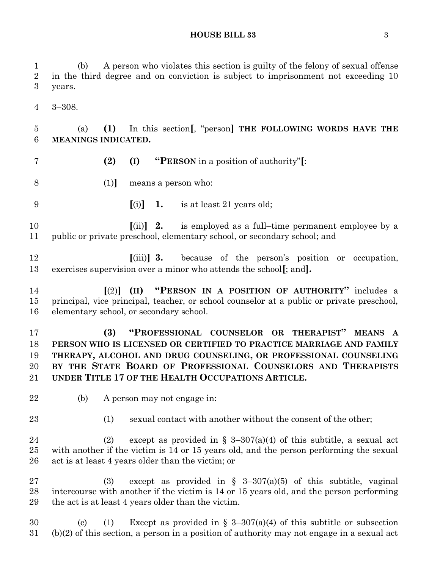**HOUSE BILL 33** 3

 (b) A person who violates this section is guilty of the felony of sexual offense in the third degree and on conviction is subject to imprisonment not exceeding 10 years. 3–308. (a) **(1)** In this section**[**, "person**] THE FOLLOWING WORDS HAVE THE MEANINGS INDICATED. (2) (I) "PERSON** in a position of authority"**[**: (1)**]** means a person who: **[**(i)**] 1.** is at least 21 years old; **[**(ii)**] 2.** is employed as a full–time permanent employee by a public or private preschool, elementary school, or secondary school; and **[**(iii)**] 3.** because of the person's position or occupation, exercises supervision over a minor who attends the school**[**; and**]. [**(2)**] (II) "PERSON IN A POSITION OF AUTHORITY"** includes a principal, vice principal, teacher, or school counselor at a public or private preschool, elementary school, or secondary school. **(3) "PROFESSIONAL COUNSELOR OR THERAPIST" MEANS A PERSON WHO IS LICENSED OR CERTIFIED TO PRACTICE MARRIAGE AND FAMILY THERAPY, ALCOHOL AND DRUG COUNSELING, OR PROFESSIONAL COUNSELING BY THE STATE BOARD OF PROFESSIONAL COUNSELORS AND THERAPISTS UNDER TITLE 17 OF THE HEALTH OCCUPATIONS ARTICLE.** (b) A person may not engage in: 23 (1) sexual contact with another without the consent of the other; 24 (2) except as provided in  $\S$  3-307(a)(4) of this subtitle, a sexual act with another if the victim is 14 or 15 years old, and the person performing the sexual act is at least 4 years older than the victim; or 27 (3) except as provided in  $\S$  3-307(a)(5) of this subtitle, vaginal intercourse with another if the victim is 14 or 15 years old, and the person performing the act is at least 4 years older than the victim. 30 (c) (1) Except as provided in  $\S$  3-307(a)(4) of this subtitle or subsection (b)(2) of this section, a person in a position of authority may not engage in a sexual act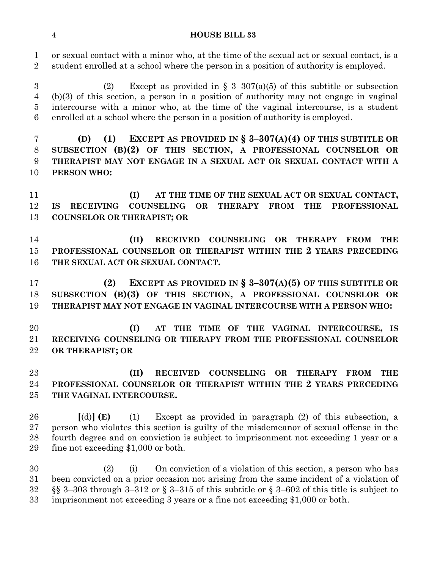#### **HOUSE BILL 33**

 or sexual contact with a minor who, at the time of the sexual act or sexual contact, is a student enrolled at a school where the person in a position of authority is employed.

3 (2) Except as provided in  $\S$  3-307(a)(5) of this subtitle or subsection (b)(3) of this section, a person in a position of authority may not engage in vaginal intercourse with a minor who, at the time of the vaginal intercourse, is a student enrolled at a school where the person in a position of authority is employed.

 **(D) (1) EXCEPT AS PROVIDED IN § 3–307(A)(4) OF THIS SUBTITLE OR SUBSECTION (B)(2) OF THIS SECTION, A PROFESSIONAL COUNSELOR OR THERAPIST MAY NOT ENGAGE IN A SEXUAL ACT OR SEXUAL CONTACT WITH A PERSON WHO:**

 **(I) AT THE TIME OF THE SEXUAL ACT OR SEXUAL CONTACT, IS RECEIVING COUNSELING OR THERAPY FROM THE PROFESSIONAL COUNSELOR OR THERAPIST; OR**

 **(II) RECEIVED COUNSELING OR THERAPY FROM THE PROFESSIONAL COUNSELOR OR THERAPIST WITHIN THE 2 YEARS PRECEDING THE SEXUAL ACT OR SEXUAL CONTACT.**

 **(2) EXCEPT AS PROVIDED IN § 3–307(A)(5) OF THIS SUBTITLE OR SUBSECTION (B)(3) OF THIS SECTION, A PROFESSIONAL COUNSELOR OR THERAPIST MAY NOT ENGAGE IN VAGINAL INTERCOURSE WITH A PERSON WHO:**

 **(I) AT THE TIME OF THE VAGINAL INTERCOURSE, IS RECEIVING COUNSELING OR THERAPY FROM THE PROFESSIONAL COUNSELOR OR THERAPIST; OR**

 **(II) RECEIVED COUNSELING OR THERAPY FROM THE PROFESSIONAL COUNSELOR OR THERAPIST WITHIN THE 2 YEARS PRECEDING THE VAGINAL INTERCOURSE.**

 **[**(d)**] (E)** (1) Except as provided in paragraph (2) of this subsection, a person who violates this section is guilty of the misdemeanor of sexual offense in the fourth degree and on conviction is subject to imprisonment not exceeding 1 year or a fine not exceeding \$1,000 or both.

 (2) (i) On conviction of a violation of this section, a person who has been convicted on a prior occasion not arising from the same incident of a violation of §§ 3–303 through 3–312 or § 3–315 of this subtitle or § 3–602 of this title is subject to imprisonment not exceeding 3 years or a fine not exceeding \$1,000 or both.